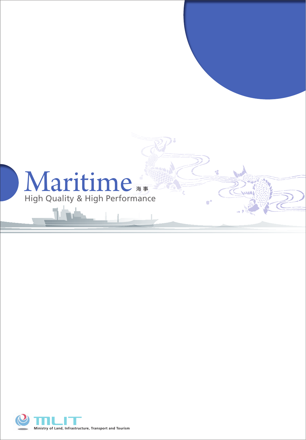

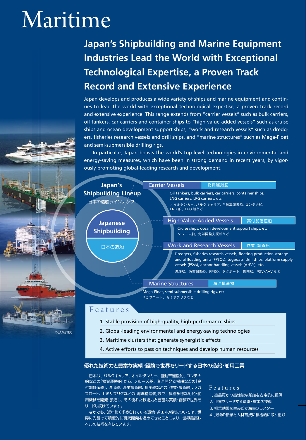# Maritime

# **Japan's Shipbuilding and Marine Equipment Industries Lead the World with Exceptional Technological Expertise, a Proven Track Record and Extensive Experience**

Japan develops and produces a wide variety of ships and marine equipment and continues to lead the world with exceptional technological expertise, a proven track record and extensive experience. This range extends from "carrier vessels" such as bulk carriers, oil tankers, car carriers and container ships to "high-value-added vessels" such as cruise ships and ocean development support ships, "work and research vessels" such as dredgers, fisheries research vessels and drill ships, and "marine structures" such as Mega-Float and semi-submersible drilling rigs.

In particular, Japan boasts the world's top-level technologies in environmental and energy-saving measures, which have been in strong demand in recent years, by vigorously promoting global-leading research and development.



#### F e a t u r e s

©JAMSTEC

- 1. Stable provision of high-quality, high-performance ships
- 2. Global-leading environmental and energy-saving technologies
- 3. Maritime clusters that generate synergistic effects
- 4. Active efforts to pass on techniques and develop human resources

#### 優れた技術力と豊富な実績・経験で世界をリードする日本の造船・舶用工業

日本は、バルクキャリア、オイルタンカー、自動車運搬船、コンテナ 船などの「物資運搬船」から、クルーズ船、海洋開発支援船などの「高 付加価値船」、浚渫船、漁業調査船、掘削船などの「作業・調査船」、メガ フロート、セミサブリグなどの「海洋構造物」まで、多種多様な船舶・舶 用機械を開発・製造し、その優れた技術力と豊富な実績・経験で世界を リードし続けています。

 なかでも、近年強く求められている環境・省エネ対策については、世 界に先駆けて積極的に研究開発を進めてきたことにより、世界最高レ ベルの技術を有しています。

#### F e a t u r e s

- 1. 高品質かつ高性能な船舶を安定的に提供
- 2. 世界をリードする環境・省エネ技術
- 3. 相乗効果を生みだす海事クラスター
- 4. 技術の伝承と人材育成に積極的に取り組む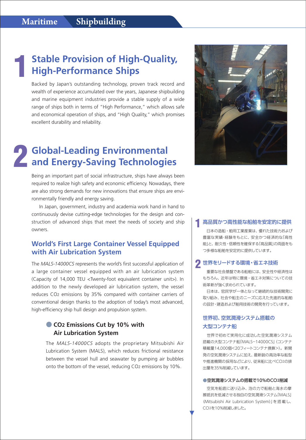2

# **Stable Provision of High-Quality, High-Performance Ships** 1

Backed by Japan's outstanding technology, proven track record and wealth of experience accumulated over the years, Japanese shipbuilding and marine equipment industries provide a stable supply of a wide range of ships both in terms of "High Performance," which allows safe and economical operation of ships, and "High Quality," which promises excellent durability and reliability.

# **Global-Leading Environmental and Energy-Saving Technologies**

Being an important part of social infrastructure, ships have always been required to realize high safety and economic efficiency. Nowadays, there are also strong demands for new innovations that ensure ships are environmentally friendly and energy saving.

In Japan, government, industry and academia work hand in hand to continuously devise cutting-edge technologies for the design and construction of advanced ships that meet the needs of society and ship owners.

## **World's First Large Container Vessel Equipped with Air Lubrication System**

The *MALS-14000CS* represents the world's first successful application of a large container vessel equipped with an air lubrication system (Capacity of 14,000 TEU <Twenty-foot equivalent container unit>). In addition to the newly developed air lubrication system, the vessel reduces CO2 emissions by 35% compared with container carriers of conventional design thanks to the adoption of today's most advanced, high-efficiency ship hull design and propulsion system.

## ● **CO2 Emissions Cut by 10% with Air Lubrication System**

The *MALS-14000CS* adopts the proprietary Mitsubishi Air Lubrication System (MALS), which reduces frictional resistance between the vessel hull and seawater by pumping air bubbles onto the bottom of the vessel, reducing CO2 emissions by 10%.



#### 高品質かつ高性能な船舶を安定的に提供 1

 日本の造船・舶用工業産業は、優れた技術力および 豊富な実績・経験をもとに、安全かつ経済的な「高性 能」と、耐久性・信頼性を確保する「高品質」の両面をも つ多様な船舶を安定的に提供しています。

# 2 世界をリードする環境・省エネ技術

 重要な社会基盤である船舶には、安全性や経済性は もちろん、近年は特に環境・省エネ対策についての技 術革新が強く求められています。

 日本は、官民学が一体となって継続的な技術開発に 取り組み、社会や船主のニーズに応えた先進的な船舶 の設計・建造および舶用技術の開発を行っています。

#### 世界初、空気潤滑システム搭載の 大型コンテナ船

 世界で初めて実用化に成功した空気潤滑システム 搭載の大型コンテナ船「MALS-14000CS」(コンテナ 積載量14,000個<20フィートコンテナ換算>)。新開 発の空気潤滑システムに加え、最新鋭の高効率な船型 や推進機関の採用などにより、従来船に比べCO2の排 出量を35%削減しています。

#### ●空気潤滑システムの搭載で10%のCO2削減

 空気を船底に送り込み、泡の力で船舶と海水の摩 擦抵抗を低減させる独自の空気潤滑システム「MALS」 (Mitsubishi Air Lubrication System)」を搭 載し、 CO2を10%削減しました。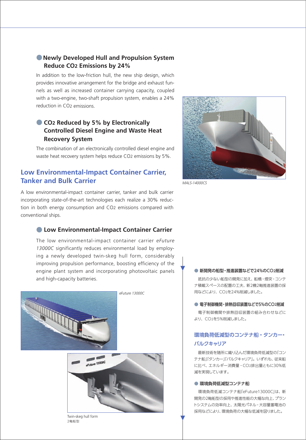## ●**Newly Developed Hull and Propulsion System Reduce CO2 Emissions by 24%**

In addition to the low-friction hull, the new ship design, which provides innovative arrangement for the bridge and exhaust funnels as well as increased container carrying capacity, coupled with a two-engine, two-shaft propulsion system, enables a 24% reduction in CO2 emissions.

# **CO<sub>2</sub> Reduced by 5% by Electronically Controlled Diesel Engine and Waste Heat Recovery System**

The combination of an electronically controlled diesel engine and waste heat recovery system helps reduce CO2 emissions by 5%.

# **Low Environmental-Impact Container Carrier, Tanker and Bulk Carrier**

A low environmental-impact container carrier, tanker and bulk carrier incorporating state-of-the-art technologies each realize a 30% reduction in both energy consumption and CO2 emissions compared with conventional ships.

## **C** Low Environmental-Impact Container Carrier

The low environmental-impact container carrier *eFuture 13000C* significantly reduces environmental load by employing a newly developed twin-skeg hull form, considerably improving propulsion performance, boosting efficiency of the engine plant system and incorporating photovoltaic panels and high-capacity batteries.





Twin-skeg hull form 2軸船型



*MALS-14000CS*

#### ● 新開発の船型・推進装置などで24%のCO2削減

 抵抗の少ない船型の開発に加え、船橋・煙突・コンテ ナ積載スペースの配置の工夫、新2機2軸推進装置の採 用などにより、CO2を24%削減しました。

#### **● 電子制御機関・排熱回収装置などで5%のCO2削減**

 電子制御機関や排熱回収装置の組み合わせなどに より、CO2を5%削減しました。

## 環境負荷低減型のコンテナ船・タンカー・ バルクキャリア

 最新技術を随所に織り込んだ環境負荷低減型の「コン テナ船」「タンカー」「バルクキャリア」。いずれも、従来船 に比べ、エネルギー消費量・CO2排出量ともに30%低 減を実現しています。

#### ● 環境負荷低減型コンテナ船

 環境負荷低減コンテナ船「eFuture13000C」は、新 開発の2軸船型の採用や推進性能の大幅な向上、プラン トシステムの効率向上、太陽光パネル・大容量蓄電池の 採用などにより、環境負荷の大幅な低減を図りました。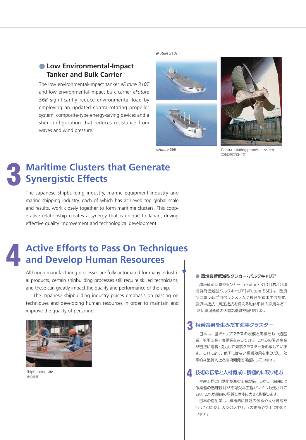# ● **Low Environmental-Impact Tanker and Bulk Carrier**

The low environmental-impact tanker *eFuture 310T* and low environmental-impact bulk carrier *eFuture 56B* significantly reduce environmental load by employing an updated contra-rotating propeller system, composite-type energy-saving devices and a ship configuration that reduces resistance from waves and wind pressure.



*eFuture 310T*



*eFuture 56B* Contra-rotating propeller system 二重反転プロペラ

# 3

# **Maritime Clusters that Generate Synergistic Effects**

The Japanese shipbuilding industry, marine equipment industry and marine shipping industry, each of which has achieved top global scale and results, work closely together to form maritime clusters. This cooperative relationship creates a synergy that is unique to Japan, driving effective quality improvement and technological development.

# **Active Efforts to Pass On Techniques and Develop Human Resources** 4

Although manufacturing processes are fully automated for many industrial products, certain shipbuilding processes still require skilled technicians, and these can greatly impact the quality and performance of the ship.

The Japanese shipbuilding industry places emphasis on passing on techniques and developing human resources in order to maintain and improve the quality of personnel.



4 Shipbuilding site 造船風景

#### ● 環境負荷低減型タンカー・バルクキャリア

 環境負荷低減型タンカー「eFuture 310T」および環 境負荷低減型バルクキャリア「eFuture 56B」は、改良 型二重反転プロペラシステムや複合型省エネ付加物、 波浪中抵抗・風圧抵抗を抑える船体形状の採用などに より、環境負荷の大幅な低減を図りました。

# 相乗効果を生みだす海事クラスター 3

 日本は、世界トップクラスの規模と実績をもつ造船 業・舶用工業・海運業を有しており、これらの関連産業 が密接に連携・協力して海事クラスターを形成していま す。これにより、他国にはない相乗効果を生みだし、効 率的な品質向上と技術開発を可能にしています。

#### △ 技術の伝承と人材育成に積極的に取り組む

 生産工程の自動化が進む工業製品。しかし、造船には 作業者の熟練技能が不可欠な工程がいくつも残されて おり、これが船舶の品質と性能に大きく影響します。

 日本の造船業は、積極的に技能の伝承や人材育成を 行うことにより、人々のクオリティの維持や向上に努めて います。